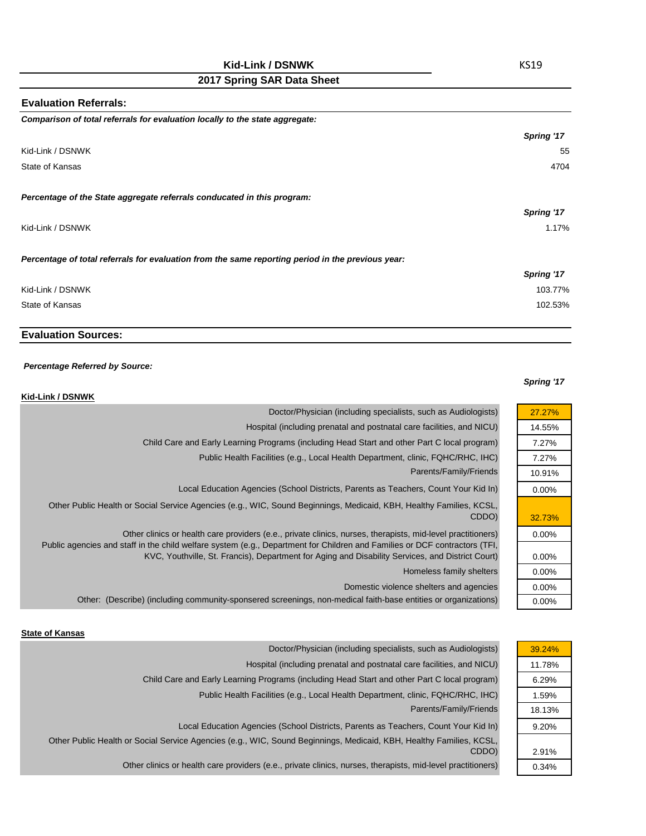# **Kid-Link / DSNWK**

# **2017 Spring SAR Data Sheet**

| <b>Evaluation Referrals:</b>                                                                      |            |
|---------------------------------------------------------------------------------------------------|------------|
| Comparison of total referrals for evaluation locally to the state aggregate:                      |            |
|                                                                                                   | Spring '17 |
| Kid-Link / DSNWK                                                                                  | 55         |
| State of Kansas                                                                                   | 4704       |
| Percentage of the State aggregate referrals conducated in this program:                           |            |
|                                                                                                   | Spring '17 |
| Kid-Link / DSNWK                                                                                  | 1.17%      |
| Percentage of total referrals for evaluation from the same reporting period in the previous year: |            |
|                                                                                                   | Spring '17 |
| Kid-Link / DSNWK                                                                                  | 103.77%    |
| State of Kansas                                                                                   | 102.53%    |
|                                                                                                   |            |

## **Evaluation Sources:**

#### *Percentage Referred by Source:*

#### *Spring '17*

27.27% 14.55% 7.27% 7.27% 10.91% 0.00%

32.73% 0.00%

0.00% 0.00% 0.00% 0.00%

| Kid-Link / DSNWK                                                                                                                                                                                                                                                                                                                              |
|-----------------------------------------------------------------------------------------------------------------------------------------------------------------------------------------------------------------------------------------------------------------------------------------------------------------------------------------------|
| Doctor/Physician (including specialists, such as Audiologists)                                                                                                                                                                                                                                                                                |
| Hospital (including prenatal and postnatal care facilities, and NICU)                                                                                                                                                                                                                                                                         |
| Child Care and Early Learning Programs (including Head Start and other Part C local program)                                                                                                                                                                                                                                                  |
| Public Health Facilities (e.g., Local Health Department, clinic, FQHC/RHC, IHC)                                                                                                                                                                                                                                                               |
| Parents/Family/Friends                                                                                                                                                                                                                                                                                                                        |
| Local Education Agencies (School Districts, Parents as Teachers, Count Your Kid In)                                                                                                                                                                                                                                                           |
| Other Public Health or Social Service Agencies (e.g., WIC, Sound Beginnings, Medicaid, KBH, Healthy Families, KCSL,<br>CDDO)                                                                                                                                                                                                                  |
| Other clinics or health care providers (e.e., private clinics, nurses, therapists, mid-level practitioners)<br>Public agencies and staff in the child welfare system (e.g., Department for Children and Families or DCF contractors (TFI,<br>KVC, Youthville, St. Francis), Department for Aging and Disability Services, and District Court) |
| Homeless family shelters                                                                                                                                                                                                                                                                                                                      |
| Domestic violence shelters and agencies                                                                                                                                                                                                                                                                                                       |
| Other: (Describe) (including community-sponsered screenings, non-medical faith-base entities or organizations)                                                                                                                                                                                                                                |

#### **State of Kansas**

| 39.24% |
|--------|
| 11.78% |
| 6.29%  |
| 1.59%  |
| 18.13% |
| 9.20%  |
|        |
| 2.91%  |
| 0.34%  |
|        |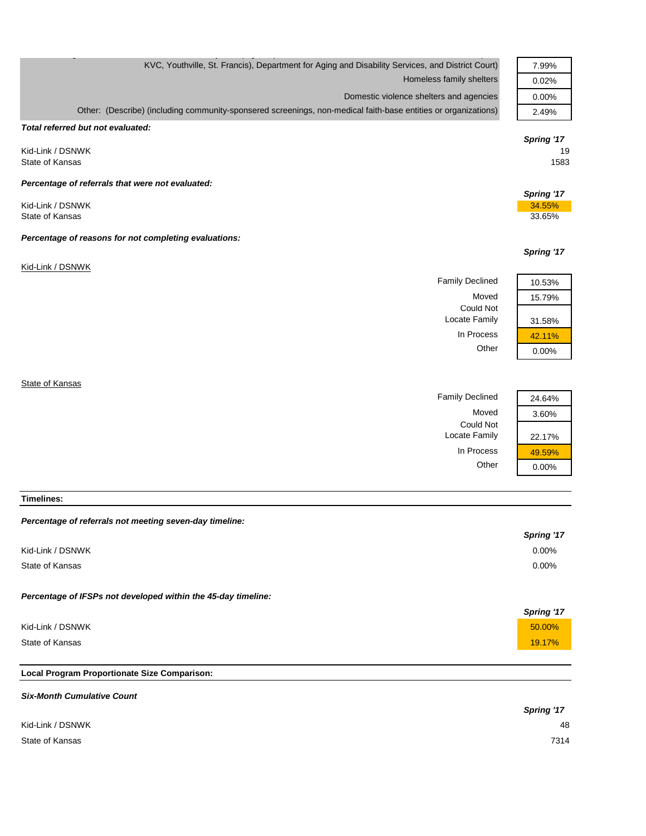| KVC, Youthville, St. Francis), Department for Aging and Disability Services, and District Court)               |            |
|----------------------------------------------------------------------------------------------------------------|------------|
| Homeless family shelters                                                                                       |            |
| Domestic violence shelters and agencies                                                                        | 0.00%      |
| Other: (Describe) (including community-sponsered screenings, non-medical faith-base entities or organizations) | 2.49%      |
| Total referred but not evaluated:                                                                              |            |
|                                                                                                                | Spring '17 |
| Kid-Link / DSNWK                                                                                               | 19         |
| State of Kansas                                                                                                | 1583       |
|                                                                                                                |            |
| Percentage of referrals that were not evaluated:                                                               | Spring '17 |
| Kid-Link / DSNWK                                                                                               | 34.55%     |
| State of Kansas                                                                                                | 33.65%     |
|                                                                                                                |            |
| Percentage of reasons for not completing evaluations:                                                          |            |
|                                                                                                                | Spring '17 |
| Kid-Link / DSNWK                                                                                               |            |
| <b>Family Declined</b>                                                                                         | 10.53%     |
|                                                                                                                |            |
| Moved                                                                                                          | 15.79%     |
| Could Not                                                                                                      |            |
| Locate Family                                                                                                  | 31.58%     |
| In Process                                                                                                     | 42.11%     |
| Other                                                                                                          | 0.00%      |
|                                                                                                                |            |

g  $\mathcal{G}$  , p (  $\mathcal{G}$  ,  $\mathcal{G}$  ,  $\mathcal{G}$  ,  $\mathcal{G}$  ,  $\mathcal{G}$  ,  $\mathcal{G}$  ,  $\mathcal{G}$  ,  $\mathcal{G}$  ,  $\mathcal{G}$  ,  $\mathcal{G}$  ,  $\mathcal{G}$  ,  $\mathcal{G}$  ,  $\mathcal{G}$  ,  $\mathcal{G}$  ,  $\mathcal{G}$  ,  $\mathcal{G}$  ,  $\mathcal{G}$  ,  $\mathcal{G}$  ,  $\mathcal{G$ 

**State of Kansas** 

Family Declined Moved Could Not Locate Family In Process Other

| 24.64%   |
|----------|
| 3.60%    |
| 22.17%   |
| 49.59%   |
| $0.00\%$ |

**Timelines:**

#### *Percentage of referrals not meeting seven-day timeline:*

|                                                               | <b>Spring '17</b> |
|---------------------------------------------------------------|-------------------|
| Kid-Link / DSNWK                                              | $0.00\%$          |
| State of Kansas                                               | 0.00%             |
| Percentage of IFSPs not developed within the 45-day timeline: |                   |
|                                                               | <b>Spring '17</b> |
| Kid-Link / DSNWK                                              | 50.00%            |
| State of Kansas                                               | 19.17%            |

# **Local Program Proportionate Size Comparison:**

| <b>Six-Month Cumulative Count</b> |            |
|-----------------------------------|------------|
|                                   | Spring '17 |
| Kid-Link / DSNWK                  | 48         |
| State of Kansas                   | 7314       |